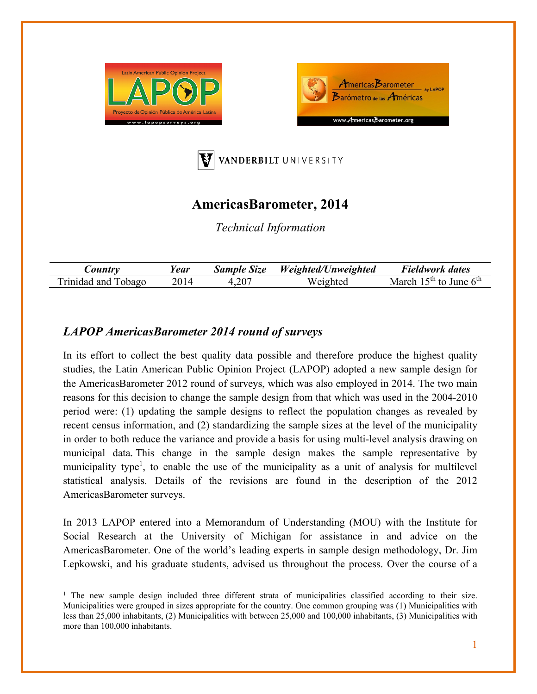





## **AmericasBarometer, 2014**

*Technical Information* 

| <i>ountry</i>             | Y <b>ear</b> | <b>Sample Size</b> | Weighted/Unweighted | Fieldwork dates                              |
|---------------------------|--------------|--------------------|---------------------|----------------------------------------------|
| Trinidad.<br>obago<br>and |              | .207               | Weighted            | ., June $6^{\text{th}}$<br>$5th$ to<br>March |

## *LAPOP AmericasBarometer 2014 round of surveys*

In its effort to collect the best quality data possible and therefore produce the highest quality studies, the Latin American Public Opinion Project (LAPOP) adopted a new sample design for the AmericasBarometer 2012 round of surveys, which was also employed in 2014. The two main reasons for this decision to change the sample design from that which was used in the 2004-2010 period were: (1) updating the sample designs to reflect the population changes as revealed by recent census information, and (2) standardizing the sample sizes at the level of the municipality in order to both reduce the variance and provide a basis for using multi-level analysis drawing on municipal data. This change in the sample design makes the sample representative by municipality type<sup>1</sup>, to enable the use of the municipality as a unit of analysis for multilevel statistical analysis. Details of the revisions are found in the description of the 2012 AmericasBarometer surveys.

In 2013 LAPOP entered into a Memorandum of Understanding (MOU) with the Institute for Social Research at the University of Michigan for assistance in and advice on the AmericasBarometer. One of the world's leading experts in sample design methodology, Dr. Jim Lepkowski, and his graduate students, advised us throughout the process. Over the course of a

<sup>&</sup>lt;sup>1</sup> The new sample design included three different strata of municipalities classified according to their size. Municipalities were grouped in sizes appropriate for the country. One common grouping was (1) Municipalities with less than 25,000 inhabitants, (2) Municipalities with between 25,000 and 100,000 inhabitants, (3) Municipalities with more than 100,000 inhabitants.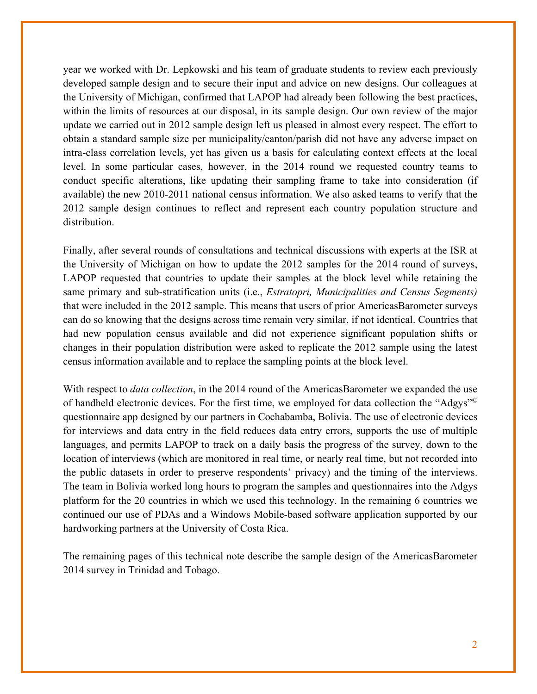year we worked with Dr. Lepkowski and his team of graduate students to review each previously developed sample design and to secure their input and advice on new designs. Our colleagues at the University of Michigan, confirmed that LAPOP had already been following the best practices, within the limits of resources at our disposal, in its sample design. Our own review of the major update we carried out in 2012 sample design left us pleased in almost every respect. The effort to obtain a standard sample size per municipality/canton/parish did not have any adverse impact on intra-class correlation levels, yet has given us a basis for calculating context effects at the local level. In some particular cases, however, in the 2014 round we requested country teams to conduct specific alterations, like updating their sampling frame to take into consideration (if available) the new 2010-2011 national census information. We also asked teams to verify that the 2012 sample design continues to reflect and represent each country population structure and distribution.

Finally, after several rounds of consultations and technical discussions with experts at the ISR at the University of Michigan on how to update the 2012 samples for the 2014 round of surveys, LAPOP requested that countries to update their samples at the block level while retaining the same primary and sub-stratification units (i.e., *Estratopri, Municipalities and Census Segments)*  that were included in the 2012 sample. This means that users of prior AmericasBarometer surveys can do so knowing that the designs across time remain very similar, if not identical. Countries that had new population census available and did not experience significant population shifts or changes in their population distribution were asked to replicate the 2012 sample using the latest census information available and to replace the sampling points at the block level.

With respect to *data collection*, in the 2014 round of the AmericasBarometer we expanded the use of handheld electronic devices. For the first time, we employed for data collection the "Adgys"© questionnaire app designed by our partners in Cochabamba, Bolivia. The use of electronic devices for interviews and data entry in the field reduces data entry errors, supports the use of multiple languages, and permits LAPOP to track on a daily basis the progress of the survey, down to the location of interviews (which are monitored in real time, or nearly real time, but not recorded into the public datasets in order to preserve respondents' privacy) and the timing of the interviews. The team in Bolivia worked long hours to program the samples and questionnaires into the Adgys platform for the 20 countries in which we used this technology. In the remaining 6 countries we continued our use of PDAs and a Windows Mobile-based software application supported by our hardworking partners at the University of Costa Rica.

The remaining pages of this technical note describe the sample design of the AmericasBarometer 2014 survey in Trinidad and Tobago.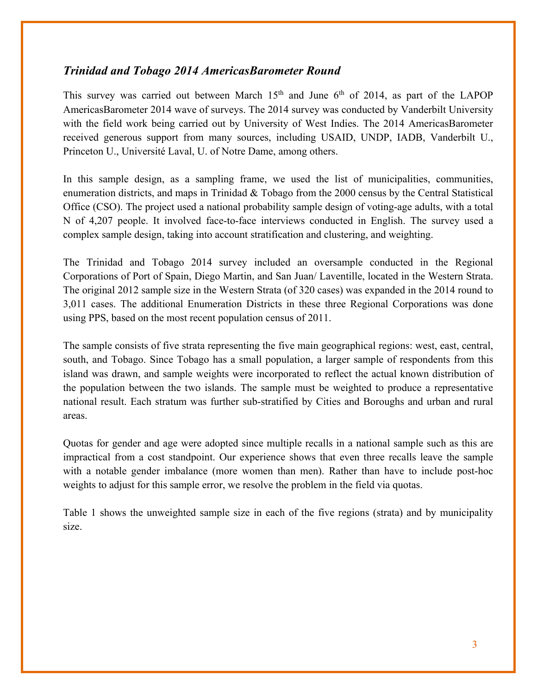## *Trinidad and Tobago 2014 AmericasBarometer Round*

This survey was carried out between March  $15<sup>th</sup>$  and June 6<sup>th</sup> of 2014, as part of the LAPOP AmericasBarometer 2014 wave of surveys. The 2014 survey was conducted by Vanderbilt University with the field work being carried out by University of West Indies. The 2014 AmericasBarometer received generous support from many sources, including USAID, UNDP, IADB, Vanderbilt U., Princeton U., Université Laval, U. of Notre Dame, among others.

In this sample design, as a sampling frame, we used the list of municipalities, communities, enumeration districts, and maps in Trinidad & Tobago from the 2000 census by the Central Statistical Office (CSO). The project used a national probability sample design of voting-age adults, with a total N of 4,207 people. It involved face-to-face interviews conducted in English. The survey used a complex sample design, taking into account stratification and clustering, and weighting.

The Trinidad and Tobago 2014 survey included an oversample conducted in the Regional Corporations of Port of Spain, Diego Martin, and San Juan/ Laventille, located in the Western Strata. The original 2012 sample size in the Western Strata (of 320 cases) was expanded in the 2014 round to 3,011 cases. The additional Enumeration Districts in these three Regional Corporations was done using PPS, based on the most recent population census of 2011.

The sample consists of five strata representing the five main geographical regions: west, east, central, south, and Tobago. Since Tobago has a small population, a larger sample of respondents from this island was drawn, and sample weights were incorporated to reflect the actual known distribution of the population between the two islands. The sample must be weighted to produce a representative national result. Each stratum was further sub-stratified by Cities and Boroughs and urban and rural areas.

Quotas for gender and age were adopted since multiple recalls in a national sample such as this are impractical from a cost standpoint. Our experience shows that even three recalls leave the sample with a notable gender imbalance (more women than men). Rather than have to include post-hoc weights to adjust for this sample error, we resolve the problem in the field via quotas.

Table 1 shows the unweighted sample size in each of the five regions (strata) and by municipality size.